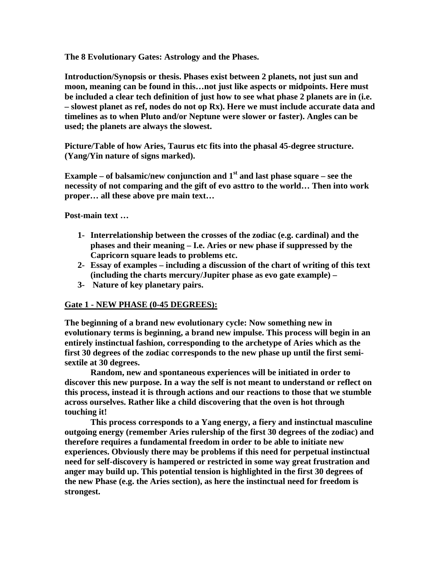**The 8 Evolutionary Gates: Astrology and the Phases.** 

**Introduction/Synopsis or thesis. Phases exist between 2 planets, not just sun and moon, meaning can be found in this…not just like aspects or midpoints. Here must be included a clear tech definition of just how to see what phase 2 planets are in (i.e. – slowest planet as ref, nodes do not op Rx). Here we must include accurate data and timelines as to when Pluto and/or Neptune were slower or faster). Angles can be used; the planets are always the slowest.** 

**Picture/Table of how Aries, Taurus etc fits into the phasal 45-degree structure. (Yang/Yin nature of signs marked).** 

**Example – of balsamic/new conjunction and**  $1<sup>st</sup>$  **and last phase square – see the necessity of not comparing and the gift of evo asttro to the world… Then into work proper… all these above pre main text…** 

**Post-main text …** 

- **1- Interrelationship between the crosses of the zodiac (e.g. cardinal) and the phases and their meaning – I.e. Aries or new phase if suppressed by the Capricorn square leads to problems etc.**
- **2- Essay of examples including a discussion of the chart of writing of this text (including the charts mercury/Jupiter phase as evo gate example) –**
- **3- Nature of key planetary pairs.**

## **Gate 1 - NEW PHASE (0-45 DEGREES):**

**The beginning of a brand new evolutionary cycle: Now something new in evolutionary terms is beginning, a brand new impulse. This process will begin in an entirely instinctual fashion, corresponding to the archetype of Aries which as the first 30 degrees of the zodiac corresponds to the new phase up until the first semisextile at 30 degrees.** 

**Random, new and spontaneous experiences will be initiated in order to discover this new purpose. In a way the self is not meant to understand or reflect on this process, instead it is through actions and our reactions to those that we stumble across ourselves. Rather like a child discovering that the oven is hot through touching it!** 

**This process corresponds to a Yang energy, a fiery and instinctual masculine outgoing energy (remember Aries rulership of the first 30 degrees of the zodiac) and therefore requires a fundamental freedom in order to be able to initiate new experiences. Obviously there may be problems if this need for perpetual instinctual need for self-discovery is hampered or restricted in some way great frustration and anger may build up. This potential tension is highlighted in the first 30 degrees of the new Phase (e.g. the Aries section), as here the instinctual need for freedom is strongest.**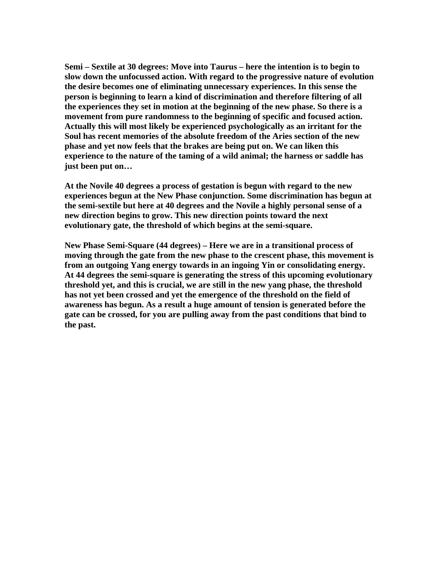**Semi – Sextile at 30 degrees: Move into Taurus – here the intention is to begin to slow down the unfocussed action. With regard to the progressive nature of evolution the desire becomes one of eliminating unnecessary experiences. In this sense the person is beginning to learn a kind of discrimination and therefore filtering of all the experiences they set in motion at the beginning of the new phase. So there is a movement from pure randomness to the beginning of specific and focused action. Actually this will most likely be experienced psychologically as an irritant for the Soul has recent memories of the absolute freedom of the Aries section of the new phase and yet now feels that the brakes are being put on. We can liken this experience to the nature of the taming of a wild animal; the harness or saddle has just been put on…** 

**At the Novile 40 degrees a process of gestation is begun with regard to the new experiences begun at the New Phase conjunction. Some discrimination has begun at the semi-sextile but here at 40 degrees and the Novile a highly personal sense of a new direction begins to grow. This new direction points toward the next evolutionary gate, the threshold of which begins at the semi-square.** 

**New Phase Semi-Square (44 degrees) – Here we are in a transitional process of moving through the gate from the new phase to the crescent phase, this movement is from an outgoing Yang energy towards in an ingoing Yin or consolidating energy. At 44 degrees the semi-square is generating the stress of this upcoming evolutionary threshold yet, and this is crucial, we are still in the new yang phase, the threshold has not yet been crossed and yet the emergence of the threshold on the field of awareness has begun. As a result a huge amount of tension is generated before the gate can be crossed, for you are pulling away from the past conditions that bind to the past.**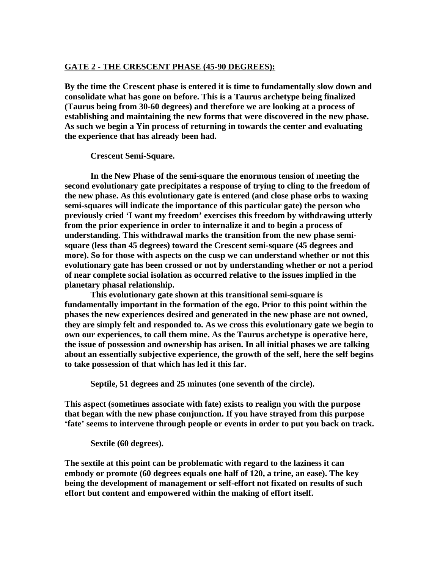## **GATE 2 - THE CRESCENT PHASE (45-90 DEGREES):**

**By the time the Crescent phase is entered it is time to fundamentally slow down and consolidate what has gone on before. This is a Taurus archetype being finalized (Taurus being from 30-60 degrees) and therefore we are looking at a process of establishing and maintaining the new forms that were discovered in the new phase. As such we begin a Yin process of returning in towards the center and evaluating the experience that has already been had.** 

**Crescent Semi-Square.** 

**In the New Phase of the semi-square the enormous tension of meeting the second evolutionary gate precipitates a response of trying to cling to the freedom of the new phase. As this evolutionary gate is entered (and close phase orbs to waxing semi-squares will indicate the importance of this particular gate) the person who previously cried 'I want my freedom' exercises this freedom by withdrawing utterly from the prior experience in order to internalize it and to begin a process of understanding. This withdrawal marks the transition from the new phase semisquare (less than 45 degrees) toward the Crescent semi-square (45 degrees and more). So for those with aspects on the cusp we can understand whether or not this evolutionary gate has been crossed or not by understanding whether or not a period of near complete social isolation as occurred relative to the issues implied in the planetary phasal relationship.** 

**This evolutionary gate shown at this transitional semi-square is fundamentally important in the formation of the ego. Prior to this point within the phases the new experiences desired and generated in the new phase are not owned, they are simply felt and responded to. As we cross this evolutionary gate we begin to own our experiences, to call them mine. As the Taurus archetype is operative here, the issue of possession and ownership has arisen. In all initial phases we are talking about an essentially subjective experience, the growth of the self, here the self begins to take possession of that which has led it this far.** 

**Septile, 51 degrees and 25 minutes (one seventh of the circle).** 

**This aspect (sometimes associate with fate) exists to realign you with the purpose that began with the new phase conjunction. If you have strayed from this purpose 'fate' seems to intervene through people or events in order to put you back on track.** 

 **Sextile (60 degrees).** 

**The sextile at this point can be problematic with regard to the laziness it can embody or promote (60 degrees equals one half of 120, a trine, an ease). The key being the development of management or self-effort not fixated on results of such effort but content and empowered within the making of effort itself.**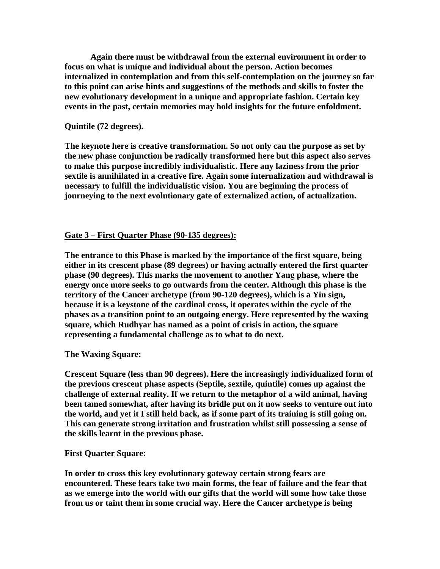**Again there must be withdrawal from the external environment in order to focus on what is unique and individual about the person. Action becomes internalized in contemplation and from this self-contemplation on the journey so far to this point can arise hints and suggestions of the methods and skills to foster the new evolutionary development in a unique and appropriate fashion. Certain key events in the past, certain memories may hold insights for the future enfoldment.** 

### **Quintile (72 degrees).**

**The keynote here is creative transformation. So not only can the purpose as set by the new phase conjunction be radically transformed here but this aspect also serves to make this purpose incredibly individualistic. Here any laziness from the prior sextile is annihilated in a creative fire. Again some internalization and withdrawal is necessary to fulfill the individualistic vision. You are beginning the process of journeying to the next evolutionary gate of externalized action, of actualization.** 

#### **Gate 3 – First Quarter Phase (90-135 degrees):**

**The entrance to this Phase is marked by the importance of the first square, being either in its crescent phase (89 degrees) or having actually entered the first quarter phase (90 degrees). This marks the movement to another Yang phase, where the energy once more seeks to go outwards from the center. Although this phase is the territory of the Cancer archetype (from 90-120 degrees), which is a Yin sign, because it is a keystone of the cardinal cross, it operates within the cycle of the phases as a transition point to an outgoing energy. Here represented by the waxing square, which Rudhyar has named as a point of crisis in action, the square representing a fundamental challenge as to what to do next.** 

#### **The Waxing Square:**

**Crescent Square (less than 90 degrees). Here the increasingly individualized form of the previous crescent phase aspects (Septile, sextile, quintile) comes up against the challenge of external reality. If we return to the metaphor of a wild animal, having been tamed somewhat, after having its bridle put on it now seeks to venture out into the world, and yet it I still held back, as if some part of its training is still going on. This can generate strong irritation and frustration whilst still possessing a sense of the skills learnt in the previous phase.** 

#### **First Quarter Square:**

**In order to cross this key evolutionary gateway certain strong fears are encountered. These fears take two main forms, the fear of failure and the fear that as we emerge into the world with our gifts that the world will some how take those from us or taint them in some crucial way. Here the Cancer archetype is being**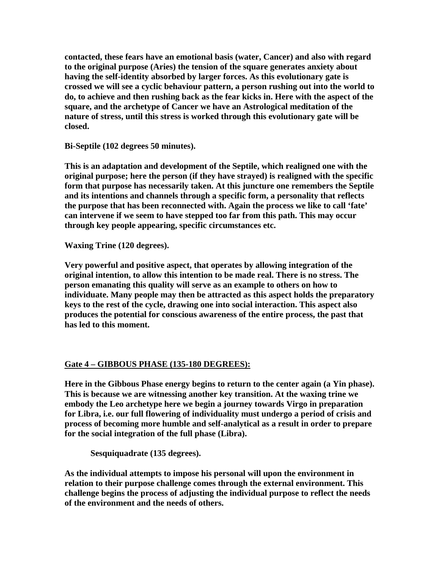**contacted, these fears have an emotional basis (water, Cancer) and also with regard to the original purpose (Aries) the tension of the square generates anxiety about having the self-identity absorbed by larger forces. As this evolutionary gate is crossed we will see a cyclic behaviour pattern, a person rushing out into the world to do, to achieve and then rushing back as the fear kicks in. Here with the aspect of the square, and the archetype of Cancer we have an Astrological meditation of the nature of stress, until this stress is worked through this evolutionary gate will be closed.** 

**Bi-Septile (102 degrees 50 minutes).** 

**This is an adaptation and development of the Septile, which realigned one with the original purpose; here the person (if they have strayed) is realigned with the specific form that purpose has necessarily taken. At this juncture one remembers the Septile and its intentions and channels through a specific form, a personality that reflects the purpose that has been reconnected with. Again the process we like to call 'fate' can intervene if we seem to have stepped too far from this path. This may occur through key people appearing, specific circumstances etc.** 

**Waxing Trine (120 degrees).** 

**Very powerful and positive aspect, that operates by allowing integration of the original intention, to allow this intention to be made real. There is no stress. The person emanating this quality will serve as an example to others on how to individuate. Many people may then be attracted as this aspect holds the preparatory keys to the rest of the cycle, drawing one into social interaction. This aspect also produces the potential for conscious awareness of the entire process, the past that has led to this moment.** 

# **Gate 4 – GIBBOUS PHASE (135-180 DEGREES):**

**Here in the Gibbous Phase energy begins to return to the center again (a Yin phase). This is because we are witnessing another key transition. At the waxing trine we embody the Leo archetype here we begin a journey towards Virgo in preparation for Libra, i.e. our full flowering of individuality must undergo a period of crisis and process of becoming more humble and self-analytical as a result in order to prepare for the social integration of the full phase (Libra).** 

 **Sesquiquadrate (135 degrees).** 

**As the individual attempts to impose his personal will upon the environment in relation to their purpose challenge comes through the external environment. This challenge begins the process of adjusting the individual purpose to reflect the needs of the environment and the needs of others.**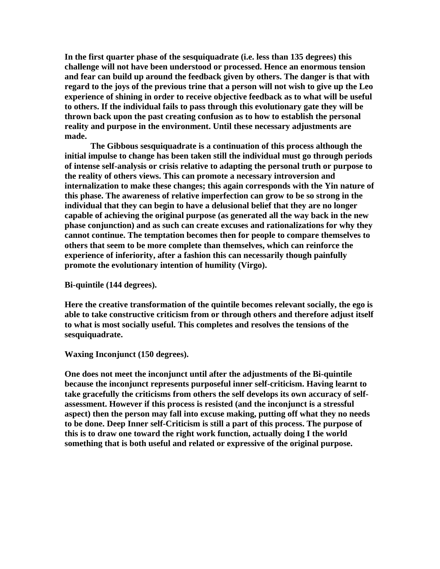**In the first quarter phase of the sesquiquadrate (i.e. less than 135 degrees) this challenge will not have been understood or processed. Hence an enormous tension and fear can build up around the feedback given by others. The danger is that with regard to the joys of the previous trine that a person will not wish to give up the Leo experience of shining in order to receive objective feedback as to what will be useful to others. If the individual fails to pass through this evolutionary gate they will be thrown back upon the past creating confusion as to how to establish the personal reality and purpose in the environment. Until these necessary adjustments are made.** 

 **The Gibbous sesquiquadrate is a continuation of this process although the initial impulse to change has been taken still the individual must go through periods of intense self-analysis or crisis relative to adapting the personal truth or purpose to the reality of others views. This can promote a necessary introversion and internalization to make these changes; this again corresponds with the Yin nature of this phase. The awareness of relative imperfection can grow to be so strong in the individual that they can begin to have a delusional belief that they are no longer capable of achieving the original purpose (as generated all the way back in the new phase conjunction) and as such can create excuses and rationalizations for why they cannot continue. The temptation becomes then for people to compare themselves to others that seem to be more complete than themselves, which can reinforce the experience of inferiority, after a fashion this can necessarily though painfully promote the evolutionary intention of humility (Virgo).** 

**Bi-quintile (144 degrees).** 

**Here the creative transformation of the quintile becomes relevant socially, the ego is able to take constructive criticism from or through others and therefore adjust itself to what is most socially useful. This completes and resolves the tensions of the sesquiquadrate.** 

**Waxing Inconjunct (150 degrees).** 

**One does not meet the inconjunct until after the adjustments of the Bi-quintile because the inconjunct represents purposeful inner self-criticism. Having learnt to take gracefully the criticisms from others the self develops its own accuracy of selfassessment. However if this process is resisted (and the inconjunct is a stressful aspect) then the person may fall into excuse making, putting off what they no needs to be done. Deep Inner self-Criticism is still a part of this process. The purpose of this is to draw one toward the right work function, actually doing I the world something that is both useful and related or expressive of the original purpose.**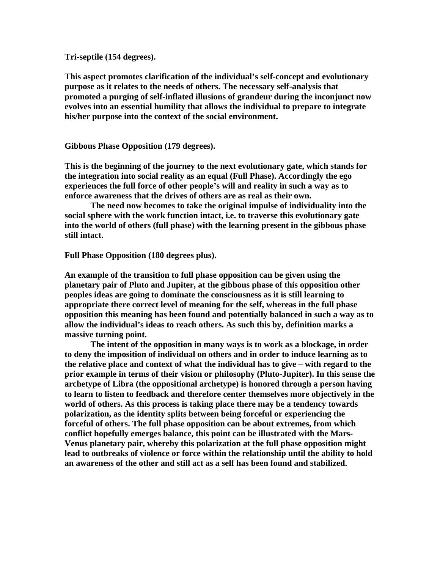**Tri-septile (154 degrees).** 

**This aspect promotes clarification of the individual's self-concept and evolutionary purpose as it relates to the needs of others. The necessary self-analysis that promoted a purging of self-inflated illusions of grandeur during the inconjunct now evolves into an essential humility that allows the individual to prepare to integrate his/her purpose into the context of the social environment.** 

**Gibbous Phase Opposition (179 degrees).** 

**This is the beginning of the journey to the next evolutionary gate, which stands for the integration into social reality as an equal (Full Phase). Accordingly the ego experiences the full force of other people's will and reality in such a way as to enforce awareness that the drives of others are as real as their own.** 

 **The need now becomes to take the original impulse of individuality into the social sphere with the work function intact, i.e. to traverse this evolutionary gate into the world of others (full phase) with the learning present in the gibbous phase still intact.** 

**Full Phase Opposition (180 degrees plus).** 

**An example of the transition to full phase opposition can be given using the planetary pair of Pluto and Jupiter, at the gibbous phase of this opposition other peoples ideas are going to dominate the consciousness as it is still learning to appropriate there correct level of meaning for the self, whereas in the full phase opposition this meaning has been found and potentially balanced in such a way as to allow the individual's ideas to reach others. As such this by, definition marks a massive turning point.** 

 **The intent of the opposition in many ways is to work as a blockage, in order to deny the imposition of individual on others and in order to induce learning as to the relative place and context of what the individual has to give – with regard to the prior example in terms of their vision or philosophy (Pluto-Jupiter). In this sense the archetype of Libra (the oppositional archetype) is honored through a person having to learn to listen to feedback and therefore center themselves more objectively in the world of others. As this process is taking place there may be a tendency towards polarization, as the identity splits between being forceful or experiencing the forceful of others. The full phase opposition can be about extremes, from which conflict hopefully emerges balance, this point can be illustrated with the Mars-Venus planetary pair, whereby this polarization at the full phase opposition might lead to outbreaks of violence or force within the relationship until the ability to hold an awareness of the other and still act as a self has been found and stabilized.**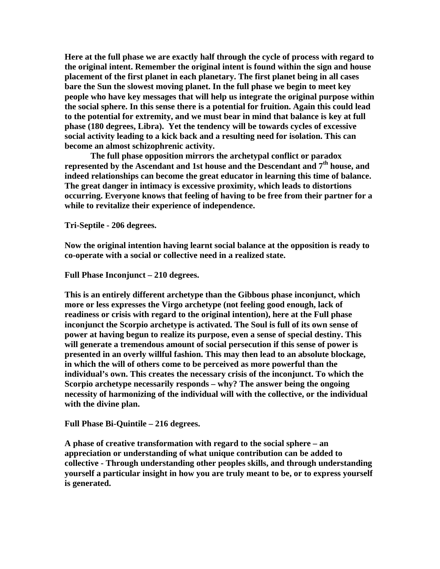**Here at the full phase we are exactly half through the cycle of process with regard to the original intent. Remember the original intent is found within the sign and house placement of the first planet in each planetary. The first planet being in all cases bare the Sun the slowest moving planet. In the full phase we begin to meet key people who have key messages that will help us integrate the original purpose within the social sphere. In this sense there is a potential for fruition. Again this could lead to the potential for extremity, and we must bear in mind that balance is key at full phase (180 degrees, Libra). Yet the tendency will be towards cycles of excessive social activity leading to a kick back and a resulting need for isolation. This can become an almost schizophrenic activity.** 

 **The full phase opposition mirrors the archetypal conflict or paradox represented by the Ascendant and 1st house and the Descendant and 7th house, and indeed relationships can become the great educator in learning this time of balance. The great danger in intimacy is excessive proximity, which leads to distortions occurring. Everyone knows that feeling of having to be free from their partner for a while to revitalize their experience of independence.** 

**Tri-Septile - 206 degrees.** 

**Now the original intention having learnt social balance at the opposition is ready to co-operate with a social or collective need in a realized state.** 

**Full Phase Inconjunct – 210 degrees.** 

**This is an entirely different archetype than the Gibbous phase inconjunct, which more or less expresses the Virgo archetype (not feeling good enough, lack of readiness or crisis with regard to the original intention), here at the Full phase inconjunct the Scorpio archetype is activated. The Soul is full of its own sense of power at having begun to realize its purpose, even a sense of special destiny. This will generate a tremendous amount of social persecution if this sense of power is presented in an overly willful fashion. This may then lead to an absolute blockage, in which the will of others come to be perceived as more powerful than the individual's own. This creates the necessary crisis of the inconjunct. To which the Scorpio archetype necessarily responds – why? The answer being the ongoing necessity of harmonizing of the individual will with the collective, or the individual with the divine plan.** 

**Full Phase Bi-Quintile – 216 degrees.** 

**A phase of creative transformation with regard to the social sphere – an appreciation or understanding of what unique contribution can be added to collective - Through understanding other peoples skills, and through understanding yourself a particular insight in how you are truly meant to be, or to express yourself is generated.**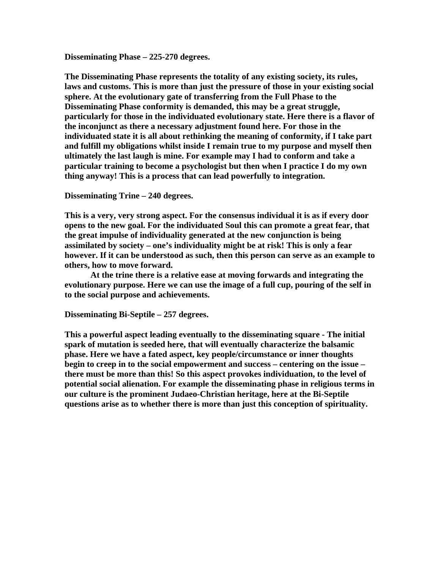**Disseminating Phase – 225-270 degrees.** 

**The Disseminating Phase represents the totality of any existing society, its rules, laws and customs. This is more than just the pressure of those in your existing social sphere. At the evolutionary gate of transferring from the Full Phase to the Disseminating Phase conformity is demanded, this may be a great struggle, particularly for those in the individuated evolutionary state. Here there is a flavor of the inconjunct as there a necessary adjustment found here. For those in the individuated state it is all about rethinking the meaning of conformity, if I take part and fulfill my obligations whilst inside I remain true to my purpose and myself then ultimately the last laugh is mine. For example may I had to conform and take a particular training to become a psychologist but then when I practice I do my own thing anyway! This is a process that can lead powerfully to integration.** 

**Disseminating Trine – 240 degrees.** 

**This is a very, very strong aspect. For the consensus individual it is as if every door opens to the new goal. For the individuated Soul this can promote a great fear, that the great impulse of individuality generated at the new conjunction is being assimilated by society – one's individuality might be at risk! This is only a fear however. If it can be understood as such, then this person can serve as an example to others, how to move forward.** 

 **At the trine there is a relative ease at moving forwards and integrating the evolutionary purpose. Here we can use the image of a full cup, pouring of the self in to the social purpose and achievements.** 

**Disseminating Bi-Septile – 257 degrees.** 

**This a powerful aspect leading eventually to the disseminating square - The initial spark of mutation is seeded here, that will eventually characterize the balsamic phase. Here we have a fated aspect, key people/circumstance or inner thoughts begin to creep in to the social empowerment and success – centering on the issue – there must be more than this! So this aspect provokes individuation, to the level of potential social alienation. For example the disseminating phase in religious terms in our culture is the prominent Judaeo-Christian heritage, here at the Bi-Septile questions arise as to whether there is more than just this conception of spirituality.**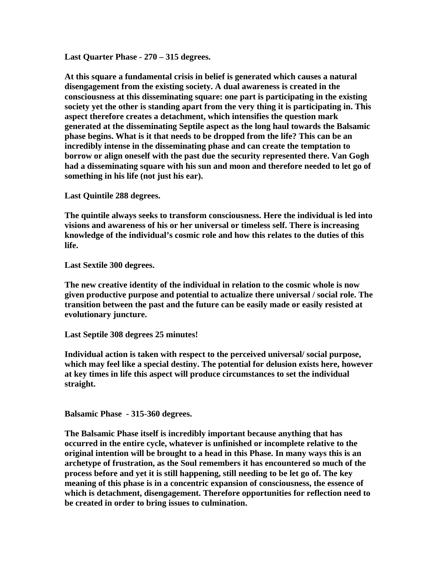**Last Quarter Phase - 270 – 315 degrees.** 

**At this square a fundamental crisis in belief is generated which causes a natural disengagement from the existing society. A dual awareness is created in the consciousness at this disseminating square: one part is participating in the existing society yet the other is standing apart from the very thing it is participating in. This aspect therefore creates a detachment, which intensifies the question mark generated at the disseminating Septile aspect as the long haul towards the Balsamic phase begins. What is it that needs to be dropped from the life? This can be an incredibly intense in the disseminating phase and can create the temptation to borrow or align oneself with the past due the security represented there. Van Gogh had a disseminating square with his sun and moon and therefore needed to let go of something in his life (not just his ear).** 

**Last Quintile 288 degrees.** 

**The quintile always seeks to transform consciousness. Here the individual is led into visions and awareness of his or her universal or timeless self. There is increasing knowledge of the individual's cosmic role and how this relates to the duties of this life.** 

**Last Sextile 300 degrees.** 

**The new creative identity of the individual in relation to the cosmic whole is now given productive purpose and potential to actualize there universal / social role. The transition between the past and the future can be easily made or easily resisted at evolutionary juncture.** 

**Last Septile 308 degrees 25 minutes!** 

**Individual action is taken with respect to the perceived universal/ social purpose, which may feel like a special destiny. The potential for delusion exists here, however at key times in life this aspect will produce circumstances to set the individual straight.** 

**Balsamic Phase - 315-360 degrees.** 

**The Balsamic Phase itself is incredibly important because anything that has occurred in the entire cycle, whatever is unfinished or incomplete relative to the original intention will be brought to a head in this Phase. In many ways this is an archetype of frustration, as the Soul remembers it has encountered so much of the process before and yet it is still happening, still needing to be let go of. The key meaning of this phase is in a concentric expansion of consciousness, the essence of which is detachment, disengagement. Therefore opportunities for reflection need to be created in order to bring issues to culmination.**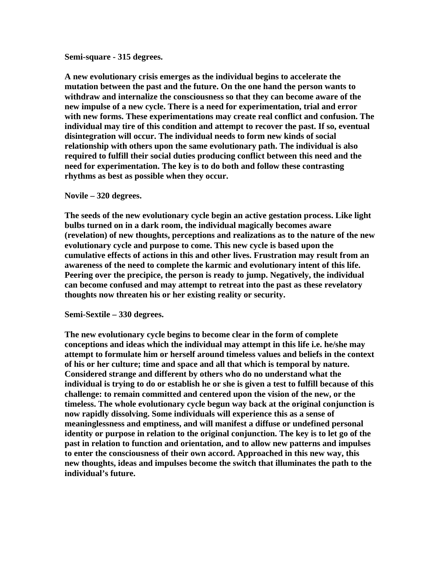#### **Semi-square - 315 degrees.**

**A new evolutionary crisis emerges as the individual begins to accelerate the mutation between the past and the future. On the one hand the person wants to withdraw and internalize the consciousness so that they can become aware of the new impulse of a new cycle. There is a need for experimentation, trial and error with new forms. These experimentations may create real conflict and confusion. The individual may tire of this condition and attempt to recover the past. If so, eventual disintegration will occur. The individual needs to form new kinds of social relationship with others upon the same evolutionary path. The individual is also required to fulfill their social duties producing conflict between this need and the need for experimentation. The key is to do both and follow these contrasting rhythms as best as possible when they occur.** 

#### **Novile – 320 degrees.**

**The seeds of the new evolutionary cycle begin an active gestation process. Like light bulbs turned on in a dark room, the individual magically becomes aware (revelation) of new thoughts, perceptions and realizations as to the nature of the new evolutionary cycle and purpose to come. This new cycle is based upon the cumulative effects of actions in this and other lives. Frustration may result from an awareness of the need to complete the karmic and evolutionary intent of this life. Peering over the precipice, the person is ready to jump. Negatively, the individual can become confused and may attempt to retreat into the past as these revelatory thoughts now threaten his or her existing reality or security.** 

#### **Semi-Sextile – 330 degrees.**

**The new evolutionary cycle begins to become clear in the form of complete conceptions and ideas which the individual may attempt in this life i.e. he/she may attempt to formulate him or herself around timeless values and beliefs in the context of his or her culture; time and space and all that which is temporal by nature. Considered strange and different by others who do no understand what the individual is trying to do or establish he or she is given a test to fulfill because of this challenge: to remain committed and centered upon the vision of the new, or the timeless. The whole evolutionary cycle begun way back at the original conjunction is now rapidly dissolving. Some individuals will experience this as a sense of meaninglessness and emptiness, and will manifest a diffuse or undefined personal identity or purpose in relation to the original conjunction. The key is to let go of the past in relation to function and orientation, and to allow new patterns and impulses to enter the consciousness of their own accord. Approached in this new way, this new thoughts, ideas and impulses become the switch that illuminates the path to the individual's future.**